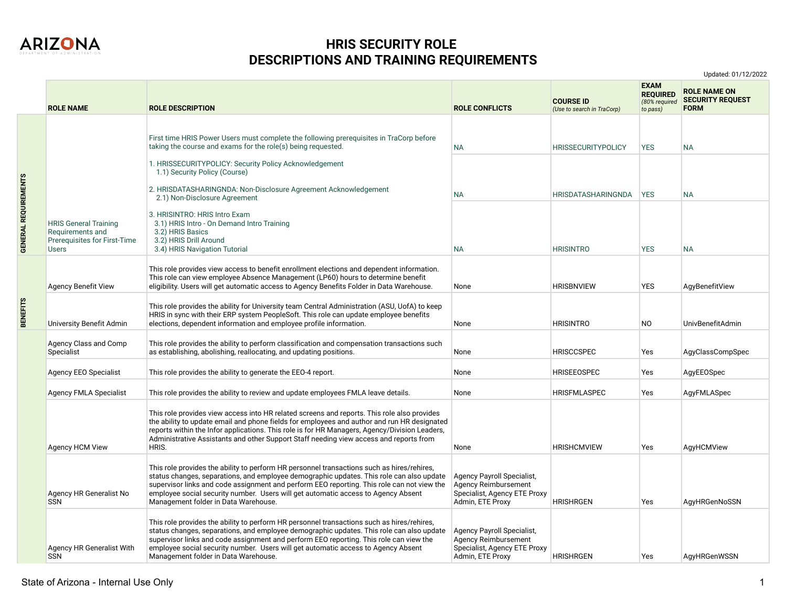

**GENERAL REQUIREMENTS**

**GENERAL REQUIREMENTS** 

**BENEFITS**

## **HRIS SECURITY ROLE DESCRIPTIONS AND TRAINING REQUIREMENTS**

**ROLE NAME ROLE DESCRIPTION ROLE CONFLICTS COURSE ID**  *(Use to search in TraCorp)* **EXAM REQUIRED**  *(80% required to pass)* **ROLE NAME ON SECURITY REQUEST FORM**  HRIS General Training Requirements and Prerequisites for First-Time Users First time HRIS Power Users must complete the following prerequisites in TraCorp before taking the course and exams for the role(s) being requested. 1. HRISSECURITYPOLICY: Security Policy Acknowledgement 1.1) Security Policy (Course) 2. HRISDATASHARINGNDA: Non-Disclosure Agreement Acknowledgement 2.1) Non-Disclosure Agreement 3. HRISINTRO: HRIS Intro Exam 3.1) HRIS Intro - On Demand Intro Training 3.2) HRIS Basics 3.2) HRIS Drill Around 3.4) HRIS Navigation Tutorial NA HRISSECURITYPOLICY YES NA NA HRISDATASHARINGNDA YES NA NA HRISINTRO YES NA Agency Benefit View This role provides view access to benefit enrollment elections and dependent information. This role can view employee Absence Management (LP60) hours to determine benefit eligibility. Users will get automatic access to Agency Benefits Folder in Data Warehouse. None HRISBNVIEW YES AgyBenefitView University Benefit Admin This role provides the ability for University team Central Administration (ASU, UofA) to keep HRIS in sync with their ERP system PeopleSoft. This role can update employee benefits elections, dependent information and employee profile information. None None HRISINTRO NO UnivBenefitAdmin Agency Class and Comp Specialist This role provides the ability to perform classification and compensation transactions such as establishing, abolishing, reallocating, and updating positions. None HRISCCSPEC HRISCCSPEC AgyClassCompSpec Agency EEO Specialist This role provides the ability to generate the EEO-4 report. None None HRISEEOSPEC Yes AgyEEOSpec Agency FMLA Specialist This role provides the ability to review and update employees FMLA leave details. None HRISFMLASPEC Yes AgyFMLASpec Agency HCM View This role provides view access into HR related screens and reports. This role also provides the ability to update email and phone fields for employees and author and run HR designated reports within the Infor applications. This role is for HR Managers, Agency/Division Leaders, Administrative Assistants and other Support Staff needing view access and reports from HRIS. None HRISHCMVIEW Yes AgyHCMView Agency HR Generalist No SSN This role provides the ability to perform HR personnel transactions such as hires/rehires, status changes, separations, and employee demographic updates. This role can also update supervisor links and code assignment and perform EEO reporting. This role can not view the employee social security number. Users will get automatic access to Agency Absent Management folder in Data Warehouse. Agency Payroll Specialist, Agency Reimbursement Specialist, Agency ETE Proxy Admin, ETE Proxy HRISHRGEN Yes AgyHRGenNoSSN Agency HR Generalist With SSN This role provides the ability to perform HR personnel transactions such as hires/rehires, status changes, separations, and employee demographic updates. This role can also update supervisor links and code assignment and perform EEO reporting. This role can view the employee social security number. Users will get automatic access to Agency Absent Management folder in Data Warehouse. Agency Payroll Specialist, Agency Reimbursement Specialist, Agency ETE Proxy Admin, ETE Proxy HRISHRGEN Yes AgyHRGenWSSN

Updated: 01/12/2022